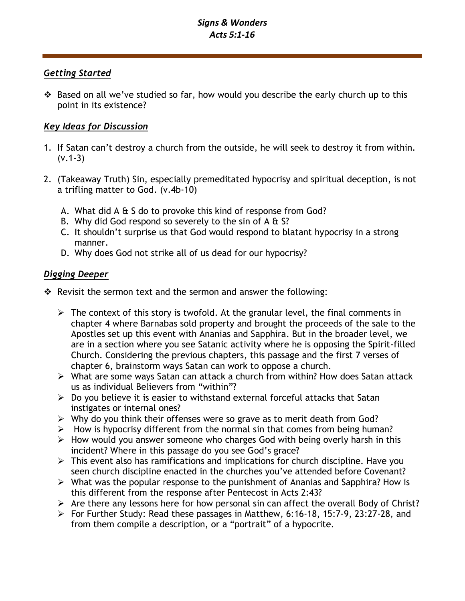# *Signs & Wonders Acts 5:1-16*

## *Getting Started*

❖ Based on all we've studied so far, how would you describe the early church up to this point in its existence?

# *Key Ideas for Discussion*

- 1. If Satan can't destroy a church from the outside, he will seek to destroy it from within.  $(v.1-3)$
- 2. (Takeaway Truth) Sin, especially premeditated hypocrisy and spiritual deception, is not a trifling matter to God. (v.4b-10)
	- A. What did A & S do to provoke this kind of response from God?
	- B. Why did God respond so severely to the sin of  $A \& S?$
	- C. It shouldn't surprise us that God would respond to blatant hypocrisy in a strong manner.
	- D. Why does God not strike all of us dead for our hypocrisy?

# *Digging Deeper*

- ❖ Revisit the sermon text and the sermon and answer the following:
	- $\triangleright$  The context of this story is twofold. At the granular level, the final comments in chapter 4 where Barnabas sold property and brought the proceeds of the sale to the Apostles set up this event with Ananias and Sapphira. But in the broader level, we are in a section where you see Satanic activity where he is opposing the Spirit-filled Church. Considering the previous chapters, this passage and the first 7 verses of chapter 6, brainstorm ways Satan can work to oppose a church.
	- ➢ What are some ways Satan can attack a church from within? How does Satan attack us as individual Believers from "within"?
	- $\triangleright$  Do you believe it is easier to withstand external forceful attacks that Satan instigates or internal ones?
	- ➢ Why do you think their offenses were so grave as to merit death from God?
	- ➢ How is hypocrisy different from the normal sin that comes from being human?
	- ➢ How would you answer someone who charges God with being overly harsh in this incident? Where in this passage do you see God's grace?
	- $\triangleright$  This event also has ramifications and implications for church discipline. Have you seen church discipline enacted in the churches you've attended before Covenant?
	- ➢ What was the popular response to the punishment of Ananias and Sapphira? How is this different from the response after Pentecost in Acts 2:43?
	- $\triangleright$  Are there any lessons here for how personal sin can affect the overall Body of Christ?
	- ➢ For Further Study: Read these passages in Matthew, 6:16-18, 15:7-9, 23:27-28, and from them compile a description, or a "portrait" of a hypocrite.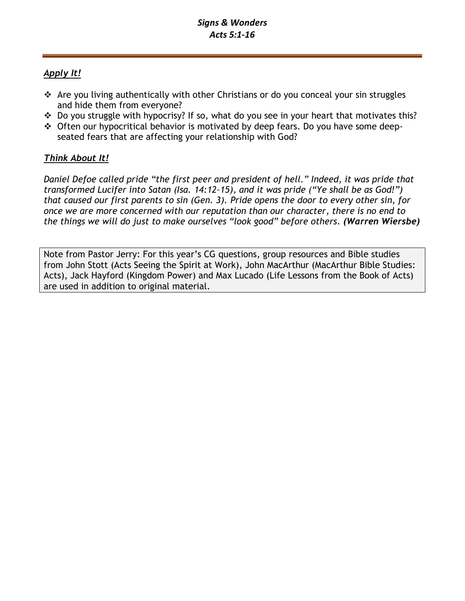# *Apply It!*

- ❖ Are you living authentically with other Christians or do you conceal your sin struggles and hide them from everyone?
- ❖ Do you struggle with hypocrisy? If so, what do you see in your heart that motivates this?
- ❖ Often our hypocritical behavior is motivated by deep fears. Do you have some deepseated fears that are affecting your relationship with God?

# *Think About It!*

*Daniel Defoe called pride "the first peer and president of hell." Indeed, it was pride that transformed Lucifer into Satan (Isa. 14:12–15), and it was pride ("Ye shall be as God!") that caused our first parents to sin (Gen. 3). Pride opens the door to every other sin, for once we are more concerned with our reputation than our character, there is no end to the things we will do just to make ourselves "look good" before others. (Warren Wiersbe)*

Note from Pastor Jerry: For this year's CG questions, group resources and Bible studies from John Stott (Acts Seeing the Spirit at Work), John MacArthur (MacArthur Bible Studies: Acts), Jack Hayford (Kingdom Power) and Max Lucado (Life Lessons from the Book of Acts) are used in addition to original material.